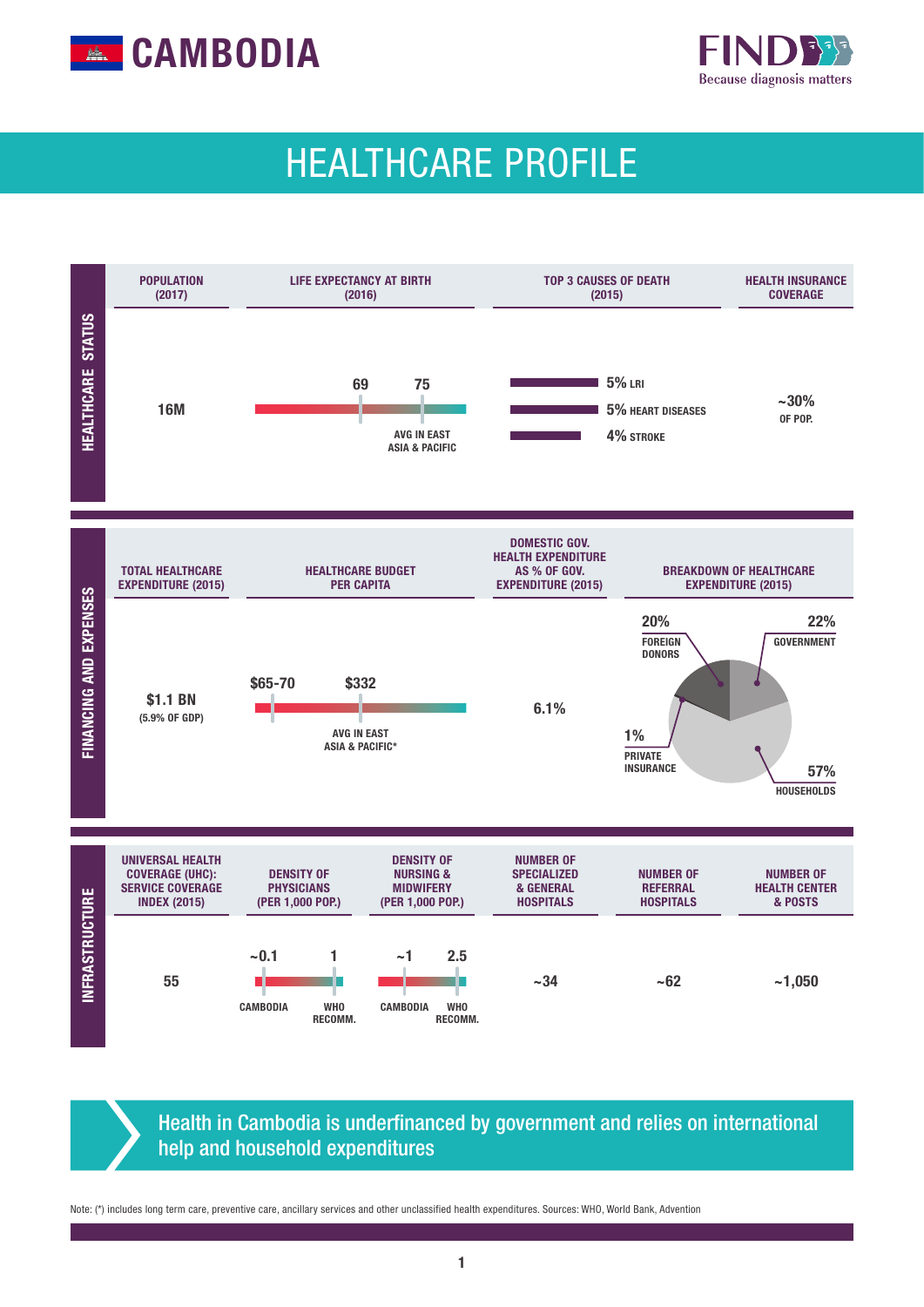



# HEALTHCARE PROFILE



Health in Cambodia is underfinanced by government and relies on international help and household expenditures

Note: (\*) includes long term care, preventive care, ancillary services and other unclassified health expenditures. Sources: WHO, World Bank, Advention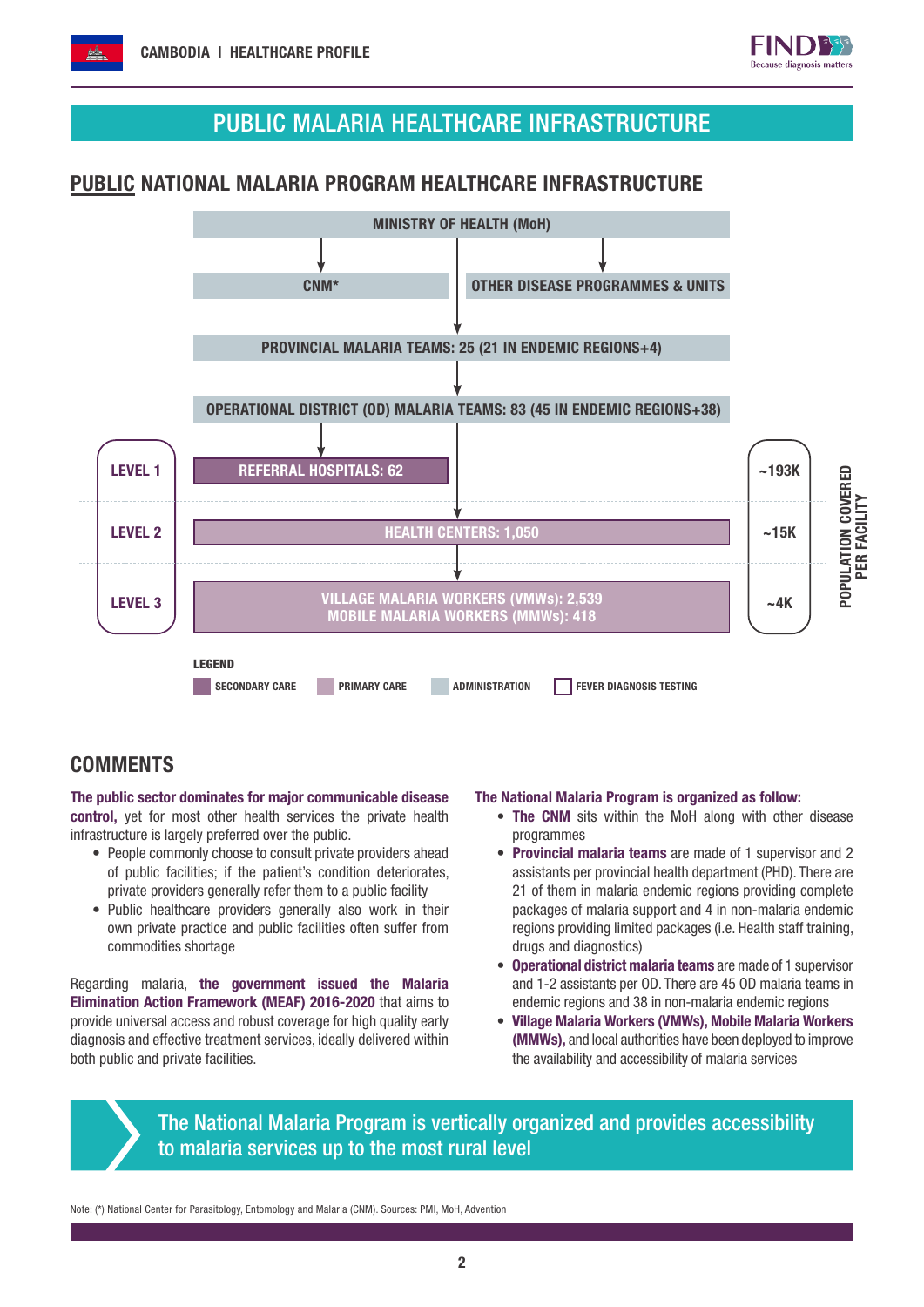

## PUBLIC MALARIA HEALTHCARE INFRASTRUCTURE

#### PUBLIC NATIONAL MALARIA PROGRAM HEALTHCARE INFRASTRUCTURE



#### **COMMENTS**

The public sector dominates for major communicable disease control, yet for most other health services the private health infrastructure is largely preferred over the public.

- People commonly choose to consult private providers ahead of public facilities; if the patient's condition deteriorates, private providers generally refer them to a public facility
- Public healthcare providers generally also work in their own private practice and public facilities often suffer from commodities shortage

Regarding malaria, the government issued the Malaria Elimination Action Framework (MEAF) 2016-2020 that aims to provide universal access and robust coverage for high quality early diagnosis and effective treatment services, ideally delivered within both public and private facilities.

#### The National Malaria Program is organized as follow:

- The CNM sits within the MoH along with other disease programmes
- Provincial malaria teams are made of 1 supervisor and 2 assistants per provincial health department (PHD). There are 21 of them in malaria endemic regions providing complete packages of malaria support and 4 in non-malaria endemic regions providing limited packages (i.e. Health staff training, drugs and diagnostics)
- Operational district malaria teams are made of 1 supervisor and 1-2 assistants per OD. There are 45 OD malaria teams in endemic regions and 38 in non-malaria endemic regions
- Village Malaria Workers (VMWs), Mobile Malaria Workers (MMWs), and local authorities have been deployed to improve the availability and accessibility of malaria services

The National Malaria Program is vertically organized and provides accessibility to malaria services up to the most rural level

Note: (\*) National Center for Parasitology, Entomology and Malaria (CNM). Sources: PMI, MoH, Advention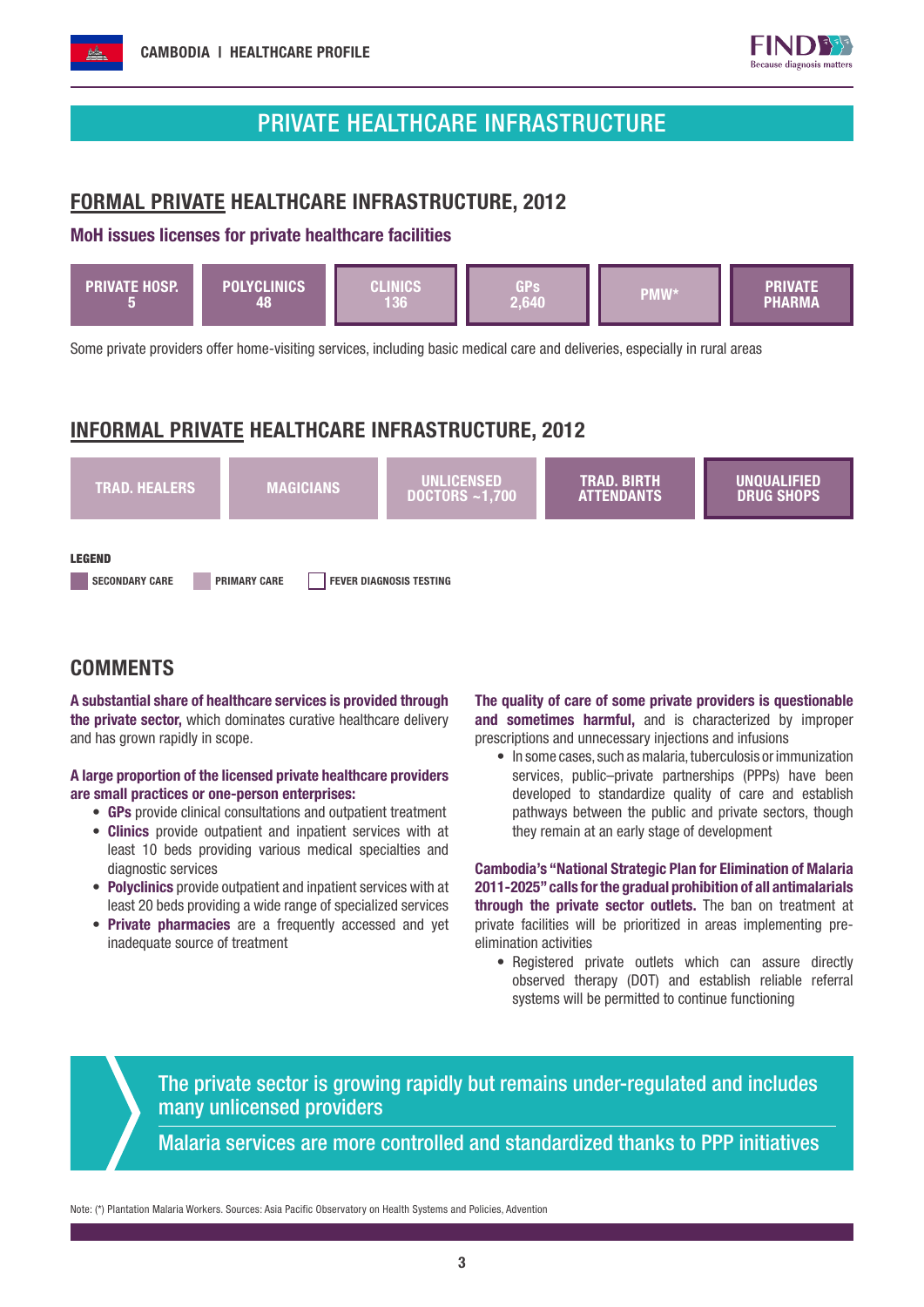



### PRIVATE HEALTHCARE INFRASTRUCTURE

#### FORMAL PRIVATE HEALTHCARE INFRASTRUCTURE, 2012

#### MoH issues licenses for private healthcare facilities



Some private providers offer home-visiting services, including basic medical care and deliveries, especially in rural areas

### INFORMAL PRIVATE HEALTHCARE INFRASTRUCTURE, 2012



#### **COMMENTS**

A substantial share of healthcare services is provided through the private sector, which dominates curative healthcare delivery and has grown rapidly in scope.

#### A large proportion of the licensed private healthcare providers are small practices or one-person enterprises:

- GPs provide clinical consultations and outpatient treatment
- Clinics provide outpatient and inpatient services with at least 10 beds providing various medical specialties and diagnostic services
- Polyclinics provide outpatient and inpatient services with at least 20 beds providing a wide range of specialized services
- Private pharmacies are a frequently accessed and yet inadequate source of treatment

The quality of care of some private providers is questionable and sometimes harmful, and is characterized by improper prescriptions and unnecessary injections and infusions

• In some cases, such as malaria, tuberculosis or immunization services, public–private partnerships (PPPs) have been developed to standardize quality of care and establish pathways between the public and private sectors, though they remain at an early stage of development

Cambodia's "National Strategic Plan for Elimination of Malaria 2011-2025" calls for the gradual prohibition of all antimalarials through the private sector outlets. The ban on treatment at private facilities will be prioritized in areas implementing preelimination activities

• Registered private outlets which can assure directly observed therapy (DOT) and establish reliable referral systems will be permitted to continue functioning

The private sector is growing rapidly but remains under-regulated and includes many unlicensed providers

Malaria services are more controlled and standardized thanks to PPP initiatives

Note: (\*) Plantation Malaria Workers. Sources: Asia Pacific Observatory on Health Systems and Policies, Advention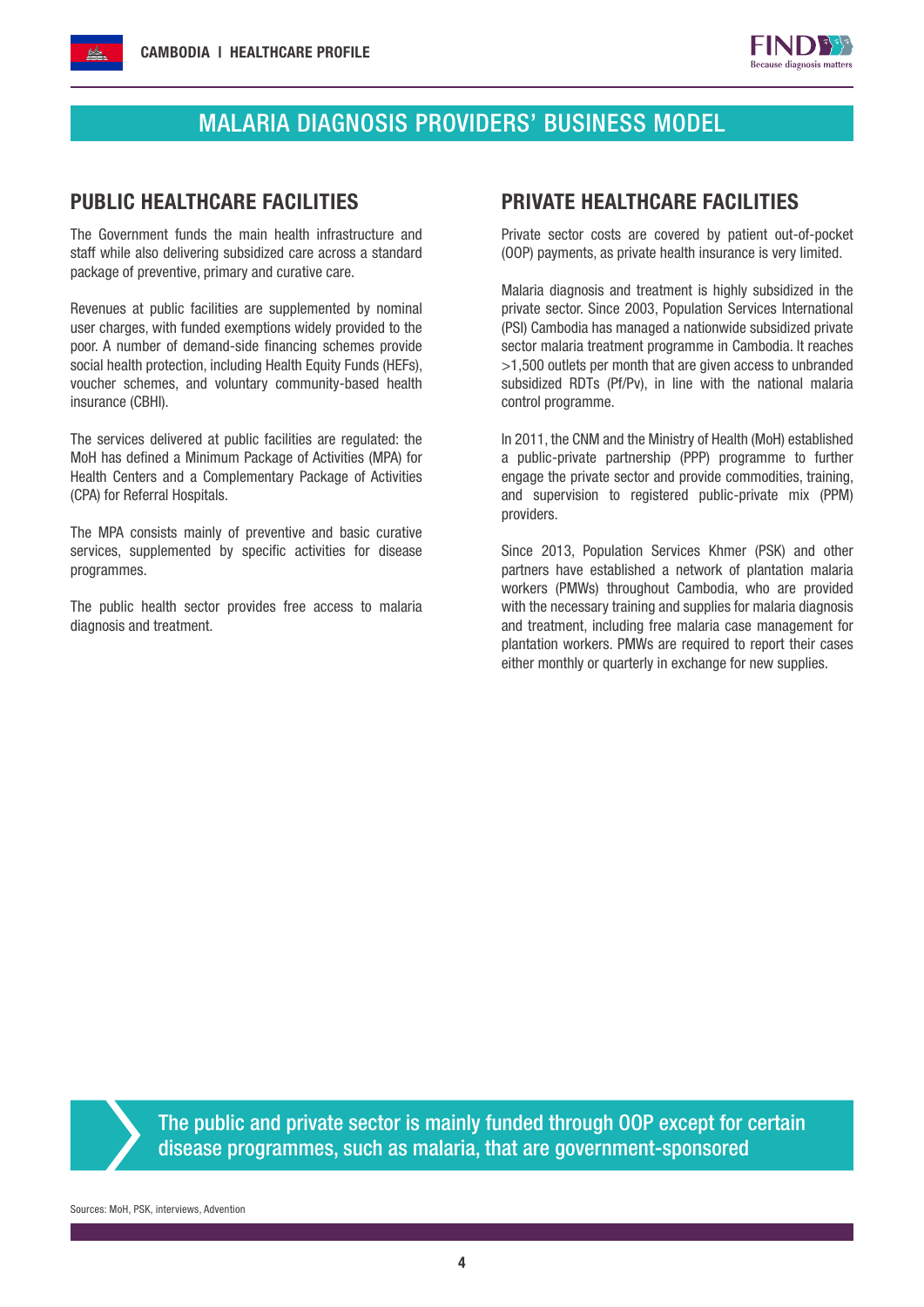

# MALARIA DIAGNOSIS PROVIDERS' BUSINESS MODEL

The Government funds the main health infrastructure and staff while also delivering subsidized care across a standard package of preventive, primary and curative care.

Revenues at public facilities are supplemented by nominal user charges, with funded exemptions widely provided to the poor. A number of demand-side financing schemes provide social health protection, including Health Equity Funds (HEFs), voucher schemes, and voluntary community-based health insurance (CBHI).

The services delivered at public facilities are regulated: the MoH has defined a Minimum Package of Activities (MPA) for Health Centers and a Complementary Package of Activities (CPA) for Referral Hospitals.

The MPA consists mainly of preventive and basic curative services, supplemented by specific activities for disease programmes.

The public health sector provides free access to malaria diagnosis and treatment.

#### PUBLIC HEALTHCARE FACILITIES PRIVATE HEALTHCARE FACILITIES

Private sector costs are covered by patient out-of-pocket (OOP) payments, as private health insurance is very limited.

Malaria diagnosis and treatment is highly subsidized in the private sector. Since 2003, Population Services International (PSI) Cambodia has managed a nationwide subsidized private sector malaria treatment programme in Cambodia. It reaches >1,500 outlets per month that are given access to unbranded subsidized RDTs (Pf/Pv), in line with the national malaria control programme.

In 2011, the CNM and the Ministry of Health (MoH) established a public-private partnership (PPP) programme to further engage the private sector and provide commodities, training, and supervision to registered public-private mix (PPM) providers.

Since 2013, Population Services Khmer (PSK) and other partners have established a network of plantation malaria workers (PMWs) throughout Cambodia, who are provided with the necessary training and supplies for malaria diagnosis and treatment, including free malaria case management for plantation workers. PMWs are required to report their cases either monthly or quarterly in exchange for new supplies.

The public and private sector is mainly funded through OOP except for certain disease programmes, such as malaria, that are government-sponsored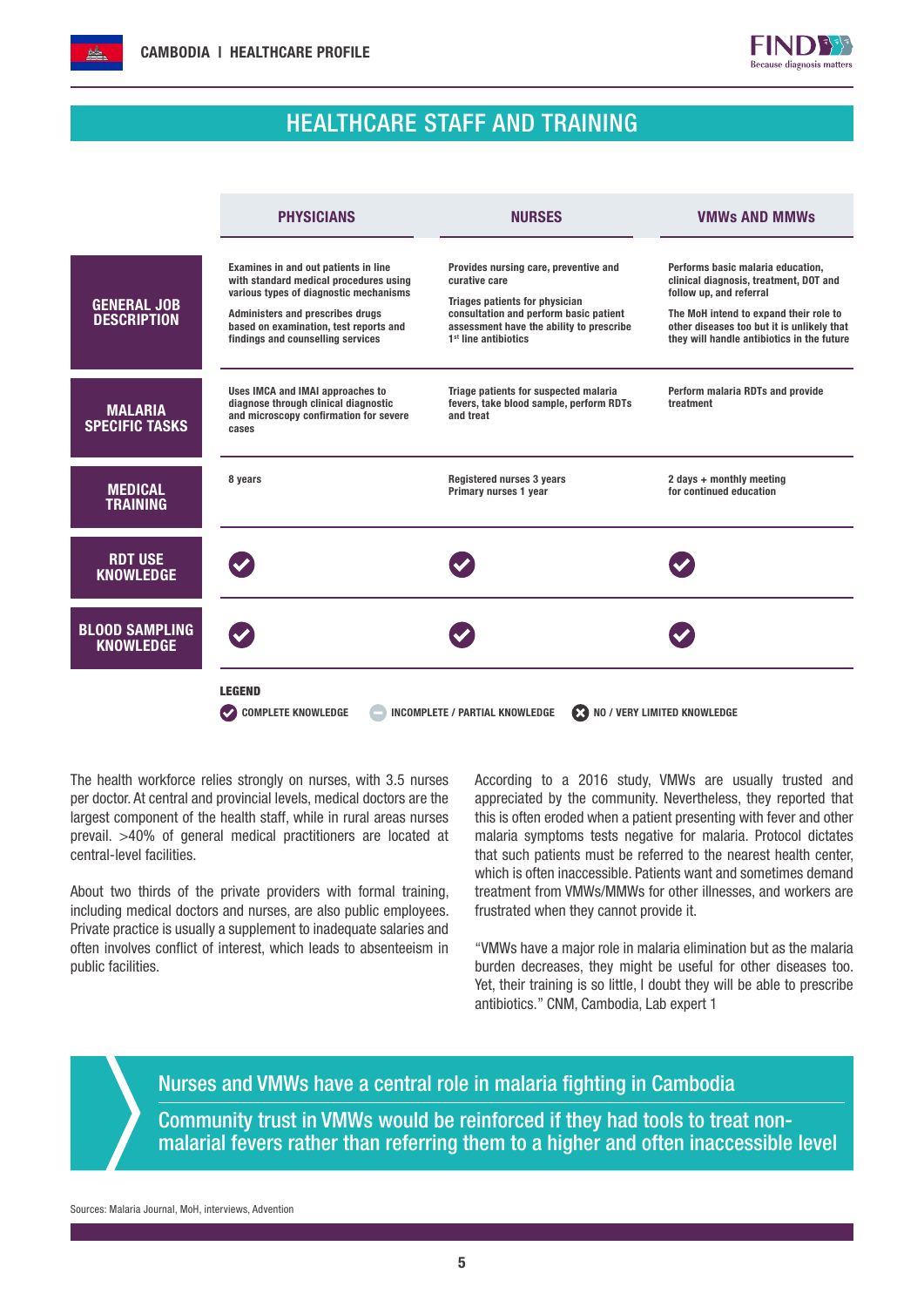



#### HEALTHCARE STAFF AND TRAINING

|                                           | <b>PHYSICIANS</b>                                                                                                                                                                                                                           | <b>NURSES</b>                                                                                                                                                                                                             | <b>VMWs AND MMWs</b>                                                                                                                                                                                                                         |
|-------------------------------------------|---------------------------------------------------------------------------------------------------------------------------------------------------------------------------------------------------------------------------------------------|---------------------------------------------------------------------------------------------------------------------------------------------------------------------------------------------------------------------------|----------------------------------------------------------------------------------------------------------------------------------------------------------------------------------------------------------------------------------------------|
| <b>GENERAL JOB</b><br><b>DESCRIPTION</b>  | Examines in and out patients in line<br>with standard medical procedures using<br>various types of diagnostic mechanisms<br>Administers and prescribes drugs<br>based on examination, test reports and<br>findings and counselling services | Provides nursing care, preventive and<br>curative care<br><b>Triages patients for physician</b><br>consultation and perform basic patient<br>assessment have the ability to prescribe<br>1 <sup>st</sup> line antibiotics | Performs basic malaria education,<br>clinical diagnosis, treatment, DOT and<br>follow up, and referral<br>The MoH intend to expand their role to<br>other diseases too but it is unlikely that<br>they will handle antibiotics in the future |
| <b>MALARIA</b><br><b>SPECIFIC TASKS</b>   | Uses IMCA and IMAI approaches to<br>diagnose through clinical diagnostic<br>and microscopy confirmation for severe<br>cases                                                                                                                 | Triage patients for suspected malaria<br>fevers, take blood sample, perform RDTs<br>and treat                                                                                                                             | Perform malaria RDTs and provide<br>treatment                                                                                                                                                                                                |
| <b>MEDICAL</b><br><b>TRAINING</b>         | 8 years                                                                                                                                                                                                                                     | Registered nurses 3 years<br>Primary nurses 1 year                                                                                                                                                                        | 2 days + monthly meeting<br>for continued education                                                                                                                                                                                          |
| <b>RDT USE</b><br><b>KNOWLEDGE</b>        |                                                                                                                                                                                                                                             |                                                                                                                                                                                                                           |                                                                                                                                                                                                                                              |
| <b>BLOOD SAMPLING</b><br><b>KNOWLEDGE</b> |                                                                                                                                                                                                                                             |                                                                                                                                                                                                                           |                                                                                                                                                                                                                                              |
|                                           | <b>LEGEND</b><br><b>COMPLETE KNOWLEDGE</b><br>NO / VERY LIMITED KNOWLEDGE<br><b>INCOMPLETE / PARTIAL KNOWLEDGE</b><br>Ø                                                                                                                     |                                                                                                                                                                                                                           |                                                                                                                                                                                                                                              |

The health workforce relies strongly on nurses, with 3.5 nurses per doctor. At central and provincial levels, medical doctors are the largest component of the health staff, while in rural areas nurses prevail. >40% of general medical practitioners are located at central-level facilities.

About two thirds of the private providers with formal training, including medical doctors and nurses, are also public employees. Private practice is usually a supplement to inadequate salaries and often involves conflict of interest, which leads to absenteeism in public facilities.

According to a 2016 study, VMWs are usually trusted and appreciated by the community. Nevertheless, they reported that this is often eroded when a patient presenting with fever and other malaria symptoms tests negative for malaria. Protocol dictates that such patients must be referred to the nearest health center, which is often inaccessible. Patients want and sometimes demand treatment from VMWs/MMWs for other illnesses, and workers are frustrated when they cannot provide it.

"VMWs have a major role in malaria elimination but as the malaria burden decreases, they might be useful for other diseases too. Yet, their training is so little, I doubt they will be able to prescribe antibiotics." CNM, Cambodia, Lab expert 1

Nurses and VMWs have a central role in malaria fighting in Cambodia Community trust in VMWs would be reinforced if they had tools to treat nonmalarial fevers rather than referring them to a higher and often inaccessible level

Sources: Malaria Journal, MoH, interviews, Advention